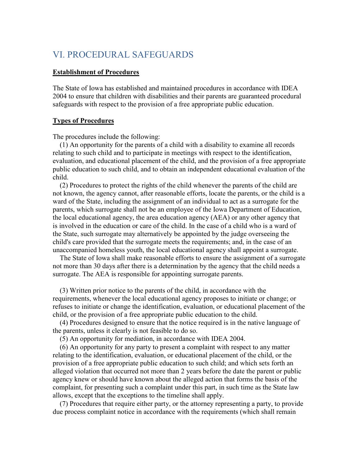# VI. PROCEDURAL SAFEGUARDS

### **Establishment of Procedures**

The State of Iowa has established and maintained procedures in accordance with IDEA 2004 to ensure that children with disabilities and their parents are guaranteed procedural safeguards with respect to the provision of a free appropriate public education.

### **Types of Procedures**

The procedures include the following:

 (1) An opportunity for the parents of a child with a disability to examine all records relating to such child and to participate in meetings with respect to the identification, evaluation, and educational placement of the child, and the provision of a free appropriate public education to such child, and to obtain an independent educational evaluation of the child.

 (2) Procedures to protect the rights of the child whenever the parents of the child are not known, the agency cannot, after reasonable efforts, locate the parents, or the child is a ward of the State, including the assignment of an individual to act as a surrogate for the parents, which surrogate shall not be an employee of the Iowa Department of Education, the local educational agency, the area education agency (AEA) or any other agency that is involved in the education or care of the child. In the case of a child who is a ward of the State, such surrogate may alternatively be appointed by the judge overseeing the child's care provided that the surrogate meets the requirements; and, in the case of an unaccompanied homeless youth, the local educational agency shall appoint a surrogate.

 The State of Iowa shall make reasonable efforts to ensure the assignment of a surrogate not more than 30 days after there is a determination by the agency that the child needs a surrogate. The AEA is responsible for appointing surrogate parents.

 (3) Written prior notice to the parents of the child, in accordance with the requirements, whenever the local educational agency proposes to initiate or change; or refuses to initiate or change the identification, evaluation, or educational placement of the child, or the provision of a free appropriate public education to the child.

 (4) Procedures designed to ensure that the notice required is in the native language of the parents, unless it clearly is not feasible to do so.

(5) An opportunity for mediation, in accordance with IDEA 2004.

 (6) An opportunity for any party to present a complaint with respect to any matter relating to the identification, evaluation, or educational placement of the child, or the provision of a free appropriate public education to such child; and which sets forth an alleged violation that occurred not more than 2 years before the date the parent or public agency knew or should have known about the alleged action that forms the basis of the complaint, for presenting such a complaint under this part, in such time as the State law allows, except that the exceptions to the timeline shall apply.

 (7) Procedures that require either party, or the attorney representing a party, to provide due process complaint notice in accordance with the requirements (which shall remain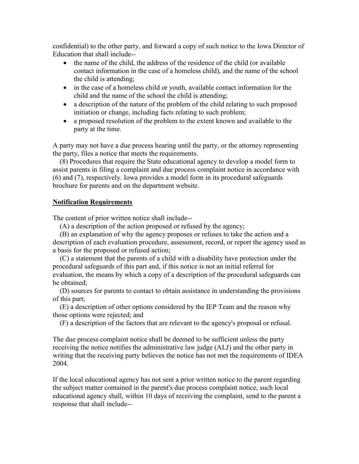confidential) to the other party, and forward a copy of such notice to the Iowa Director of Education that shall include--

- the name of the child, the address of the residence of the child (or available contact information in the case of a homeless child), and the name of the school the child is attending;
- in the case of a homeless child or youth, available contact information for the child and the name of the school the child is attending;
- a description of the nature of the problem of the child relating to such proposed initiation or change, including facts relating to such problem;
- a proposed resolution of the problem to the extent known and available to the party at the time.

A party may not have a due process hearing until the party, or the attorney representing the party, files a notice that meets the requirements.

 (8) Procedures that require the State educational agency to develop a model form to assist parents in filing a complaint and due process complaint notice in accordance with (6) and (7), respectively. Iowa provides a model form in its procedural safeguards brochure for parents and on the department website.

# **Notification Requirements**

The content of prior written notice shall include--

(A) a description of the action proposed or refused by the agency;

 (B) an explanation of why the agency proposes or refuses to take the action and a description of each evaluation procedure, assessment, record, or report the agency used as a basis for the proposed or refused action;

 (C) a statement that the parents of a child with a disability have protection under the procedural safeguards of this part and, if this notice is not an initial referral for evaluation, the means by which a copy of a description of the procedural safeguards can be obtained;

 (D) sources for parents to contact to obtain assistance in understanding the provisions of this part;

 (E) a description of other options considered by the IEP Team and the reason why those options were rejected; and

(F) a description of the factors that are relevant to the agency's proposal or refusal.

The due process complaint notice shall be deemed to be sufficient unless the party receiving the notice notifies the administrative law judge (ALJ) and the other party in writing that the receiving party believes the notice has not met the requirements of IDEA 2004.

If the local educational agency has not sent a prior written notice to the parent regarding the subject matter contained in the parent's due process complaint notice, such local educational agency shall, within 10 days of receiving the complaint, send to the parent a response that shall include--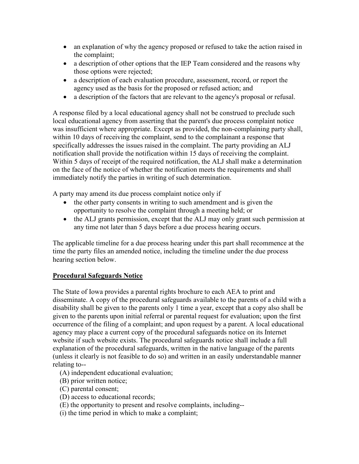- an explanation of why the agency proposed or refused to take the action raised in the complaint;
- a description of other options that the IEP Team considered and the reasons why those options were rejected;
- a description of each evaluation procedure, assessment, record, or report the agency used as the basis for the proposed or refused action; and
- a description of the factors that are relevant to the agency's proposal or refusal.

A response filed by a local educational agency shall not be construed to preclude such local educational agency from asserting that the parent's due process complaint notice was insufficient where appropriate. Except as provided, the non-complaining party shall, within 10 days of receiving the complaint, send to the complainant a response that specifically addresses the issues raised in the complaint. The party providing an ALJ notification shall provide the notification within 15 days of receiving the complaint. Within 5 days of receipt of the required notification, the ALJ shall make a determination on the face of the notice of whether the notification meets the requirements and shall immediately notify the parties in writing of such determination.

A party may amend its due process complaint notice only if

- the other party consents in writing to such amendment and is given the opportunity to resolve the complaint through a meeting held; or
- the ALJ grants permission, except that the ALJ may only grant such permission at any time not later than 5 days before a due process hearing occurs.

The applicable timeline for a due process hearing under this part shall recommence at the time the party files an amended notice, including the timeline under the due process hearing section below.

# **Procedural Safeguards Notice**

The State of Iowa provides a parental rights brochure to each AEA to print and disseminate. A copy of the procedural safeguards available to the parents of a child with a disability shall be given to the parents only 1 time a year, except that a copy also shall be given to the parents upon initial referral or parental request for evaluation; upon the first occurrence of the filing of a complaint; and upon request by a parent. A local educational agency may place a current copy of the procedural safeguards notice on its Internet website if such website exists. The procedural safeguards notice shall include a full explanation of the procedural safeguards, written in the native language of the parents (unless it clearly is not feasible to do so) and written in an easily understandable manner relating to--

- (A) independent educational evaluation;
- (B) prior written notice;
- (C) parental consent;
- (D) access to educational records;
- (E) the opportunity to present and resolve complaints, including--
- (i) the time period in which to make a complaint;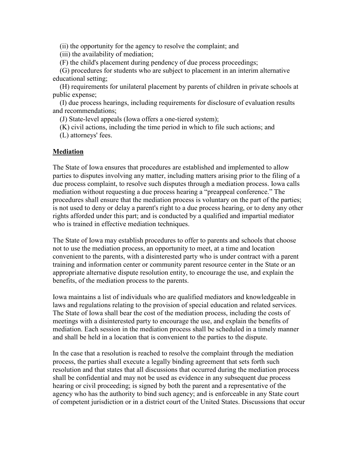(ii) the opportunity for the agency to resolve the complaint; and

(iii) the availability of mediation;

(F) the child's placement during pendency of due process proceedings;

 (G) procedures for students who are subject to placement in an interim alternative educational setting;

 (H) requirements for unilateral placement by parents of children in private schools at public expense;

 (I) due process hearings, including requirements for disclosure of evaluation results and recommendations;

(J) State-level appeals (Iowa offers a one-tiered system);

(K) civil actions, including the time period in which to file such actions; and

(L) attorneys' fees.

# **Mediation**

The State of Iowa ensures that procedures are established and implemented to allow parties to disputes involving any matter, including matters arising prior to the filing of a due process complaint, to resolve such disputes through a mediation process. Iowa calls mediation without requesting a due process hearing a "preappeal conference." The procedures shall ensure that the mediation process is voluntary on the part of the parties; is not used to deny or delay a parent's right to a due process hearing, or to deny any other rights afforded under this part; and is conducted by a qualified and impartial mediator who is trained in effective mediation techniques.

The State of Iowa may establish procedures to offer to parents and schools that choose not to use the mediation process, an opportunity to meet, at a time and location convenient to the parents, with a disinterested party who is under contract with a parent training and information center or community parent resource center in the State or an appropriate alternative dispute resolution entity, to encourage the use, and explain the benefits, of the mediation process to the parents.

Iowa maintains a list of individuals who are qualified mediators and knowledgeable in laws and regulations relating to the provision of special education and related services. The State of Iowa shall bear the cost of the mediation process, including the costs of meetings with a disinterested party to encourage the use, and explain the benefits of mediation. Each session in the mediation process shall be scheduled in a timely manner and shall be held in a location that is convenient to the parties to the dispute.

In the case that a resolution is reached to resolve the complaint through the mediation process, the parties shall execute a legally binding agreement that sets forth such resolution and that states that all discussions that occurred during the mediation process shall be confidential and may not be used as evidence in any subsequent due process hearing or civil proceeding; is signed by both the parent and a representative of the agency who has the authority to bind such agency; and is enforceable in any State court of competent jurisdiction or in a district court of the United States. Discussions that occur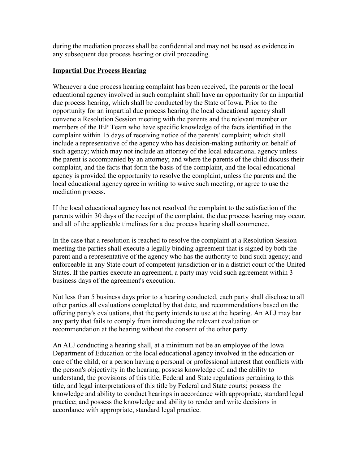during the mediation process shall be confidential and may not be used as evidence in any subsequent due process hearing or civil proceeding.

# **Impartial Due Process Hearing**

Whenever a due process hearing complaint has been received, the parents or the local educational agency involved in such complaint shall have an opportunity for an impartial due process hearing, which shall be conducted by the State of Iowa. Prior to the opportunity for an impartial due process hearing the local educational agency shall convene a Resolution Session meeting with the parents and the relevant member or members of the IEP Team who have specific knowledge of the facts identified in the complaint within 15 days of receiving notice of the parents' complaint; which shall include a representative of the agency who has decision-making authority on behalf of such agency; which may not include an attorney of the local educational agency unless the parent is accompanied by an attorney; and where the parents of the child discuss their complaint, and the facts that form the basis of the complaint, and the local educational agency is provided the opportunity to resolve the complaint, unless the parents and the local educational agency agree in writing to waive such meeting, or agree to use the mediation process.

If the local educational agency has not resolved the complaint to the satisfaction of the parents within 30 days of the receipt of the complaint, the due process hearing may occur, and all of the applicable timelines for a due process hearing shall commence.

In the case that a resolution is reached to resolve the complaint at a Resolution Session meeting the parties shall execute a legally binding agreement that is signed by both the parent and a representative of the agency who has the authority to bind such agency; and enforceable in any State court of competent jurisdiction or in a district court of the United States. If the parties execute an agreement, a party may void such agreement within 3 business days of the agreement's execution.

Not less than 5 business days prior to a hearing conducted, each party shall disclose to all other parties all evaluations completed by that date, and recommendations based on the offering party's evaluations, that the party intends to use at the hearing. An ALJ may bar any party that fails to comply from introducing the relevant evaluation or recommendation at the hearing without the consent of the other party.

An ALJ conducting a hearing shall, at a minimum not be an employee of the Iowa Department of Education or the local educational agency involved in the education or care of the child; or a person having a personal or professional interest that conflicts with the person's objectivity in the hearing; possess knowledge of, and the ability to understand, the provisions of this title, Federal and State regulations pertaining to this title, and legal interpretations of this title by Federal and State courts; possess the knowledge and ability to conduct hearings in accordance with appropriate, standard legal practice; and possess the knowledge and ability to render and write decisions in accordance with appropriate, standard legal practice.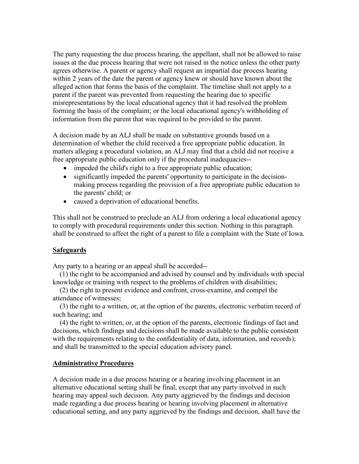The party requesting the due process hearing, the appellant, shall not be allowed to raise issues at the due process hearing that were not raised in the notice unless the other party agrees otherwise. A parent or agency shall request an impartial due process hearing within 2 years of the date the parent or agency knew or should have known about the alleged action that forms the basis of the complaint. The timeline shall not apply to a parent if the parent was prevented from requesting the hearing due to specific misrepresentations by the local educational agency that it had resolved the problem forming the basis of the complaint; or the local educational agency's withholding of information from the parent that was required to be provided to the parent.

A decision made by an ALJ shall be made on substantive grounds based on a determination of whether the child received a free appropriate public education. In matters alleging a procedural violation, an ALJ may find that a child did not receive a free appropriate public education only if the procedural inadequacies--

- impeded the child's right to a free appropriate public education;
- significantly impeded the parents' opportunity to participate in the decisionmaking process regarding the provision of a free appropriate public education to the parents' child; or
- caused a deprivation of educational benefits.

This shall not be construed to preclude an ALJ from ordering a local educational agency to comply with procedural requirements under this section. Nothing in this paragraph shall be construed to affect the right of a parent to file a complaint with the State of Iowa.

### **Safeguards**

Any party to a hearing or an appeal shall be accorded--

 (1) the right to be accompanied and advised by counsel and by individuals with special knowledge or training with respect to the problems of children with disabilities;

 (2) the right to present evidence and confront, cross-examine, and compel the attendance of witnesses;

 (3) the right to a written, or, at the option of the parents, electronic verbatim record of such hearing; and

 (4) the right to written, or, at the option of the parents, electronic findings of fact and decisions, which findings and decisions shall be made available to the public consistent with the requirements relating to the confidentiality of data, information, and records); and shall be transmitted to the special education advisory panel.

### **Administrative Procedures**

A decision made in a due process hearing or a hearing involving placement in an alternative educational setting shall be final, except that any party involved in such hearing may appeal such decision. Any party aggrieved by the findings and decision made regarding a due process hearing or hearing involving placement in alternative educational setting, and any party aggrieved by the findings and decision, shall have the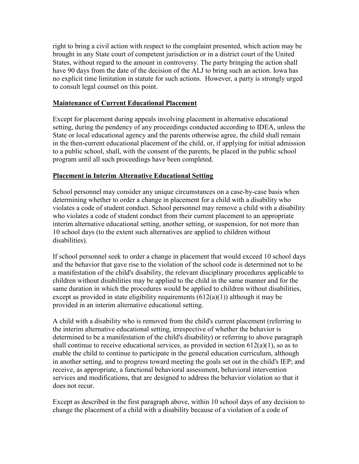right to bring a civil action with respect to the complaint presented, which action may be brought in any State court of competent jurisdiction or in a district court of the United States, without regard to the amount in controversy. The party bringing the action shall have 90 days from the date of the decision of the ALJ to bring such an action. Iowa has no explicit time limitation in statute for such actions. However, a party is strongly urged to consult legal counsel on this point.

# **Maintenance of Current Educational Placement**

Except for placement during appeals involving placement in alternative educational setting, during the pendency of any proceedings conducted according to IDEA, unless the State or local educational agency and the parents otherwise agree, the child shall remain in the then-current educational placement of the child, or, if applying for initial admission to a public school, shall, with the consent of the parents, be placed in the public school program until all such proceedings have been completed.

# **Placement in Interim Alternative Educational Setting**

School personnel may consider any unique circumstances on a case-by-case basis when determining whether to order a change in placement for a child with a disability who violates a code of student conduct. School personnel may remove a child with a disability who violates a code of student conduct from their current placement to an appropriate interim alternative educational setting, another setting, or suspension, for not more than 10 school days (to the extent such alternatives are applied to children without disabilities).

If school personnel seek to order a change in placement that would exceed 10 school days and the behavior that gave rise to the violation of the school code is determined not to be a manifestation of the child's disability, the relevant disciplinary procedures applicable to children without disabilities may be applied to the child in the same manner and for the same duration in which the procedures would be applied to children without disabilities, except as provided in state eligibility requirements  $(612(a)(1))$  although it may be provided in an interim alternative educational setting.

A child with a disability who is removed from the child's current placement (referring to the interim alternative educational setting, irrespective of whether the behavior is determined to be a manifestation of the child's disability) or referring to above paragraph shall continue to receive educational services, as provided in section  $612(a)(1)$ , so as to enable the child to continue to participate in the general education curriculum, although in another setting, and to progress toward meeting the goals set out in the child's IEP; and receive, as appropriate, a functional behavioral assessment, behavioral intervention services and modifications, that are designed to address the behavior violation so that it does not recur.

Except as described in the first paragraph above, within 10 school days of any decision to change the placement of a child with a disability because of a violation of a code of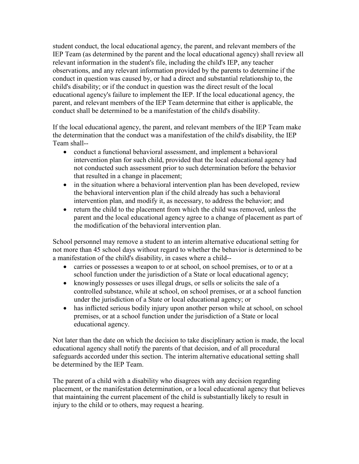student conduct, the local educational agency, the parent, and relevant members of the IEP Team (as determined by the parent and the local educational agency) shall review all relevant information in the student's file, including the child's IEP, any teacher observations, and any relevant information provided by the parents to determine if the conduct in question was caused by, or had a direct and substantial relationship to, the child's disability; or if the conduct in question was the direct result of the local educational agency's failure to implement the IEP. If the local educational agency, the parent, and relevant members of the IEP Team determine that either is applicable, the conduct shall be determined to be a manifestation of the child's disability.

If the local educational agency, the parent, and relevant members of the IEP Team make the determination that the conduct was a manifestation of the child's disability, the IEP Team shall--

- conduct a functional behavioral assessment, and implement a behavioral intervention plan for such child, provided that the local educational agency had not conducted such assessment prior to such determination before the behavior that resulted in a change in placement;
- in the situation where a behavioral intervention plan has been developed, review the behavioral intervention plan if the child already has such a behavioral intervention plan, and modify it, as necessary, to address the behavior; and
- return the child to the placement from which the child was removed, unless the parent and the local educational agency agree to a change of placement as part of the modification of the behavioral intervention plan.

School personnel may remove a student to an interim alternative educational setting for not more than 45 school days without regard to whether the behavior is determined to be a manifestation of the child's disability, in cases where a child--

- carries or possesses a weapon to or at school, on school premises, or to or at a school function under the jurisdiction of a State or local educational agency;
- knowingly possesses or uses illegal drugs, or sells or solicits the sale of a controlled substance, while at school, on school premises, or at a school function under the jurisdiction of a State or local educational agency; or
- has inflicted serious bodily injury upon another person while at school, on school premises, or at a school function under the jurisdiction of a State or local educational agency.

Not later than the date on which the decision to take disciplinary action is made, the local educational agency shall notify the parents of that decision, and of all procedural safeguards accorded under this section. The interim alternative educational setting shall be determined by the IEP Team.

The parent of a child with a disability who disagrees with any decision regarding placement, or the manifestation determination, or a local educational agency that believes that maintaining the current placement of the child is substantially likely to result in injury to the child or to others, may request a hearing.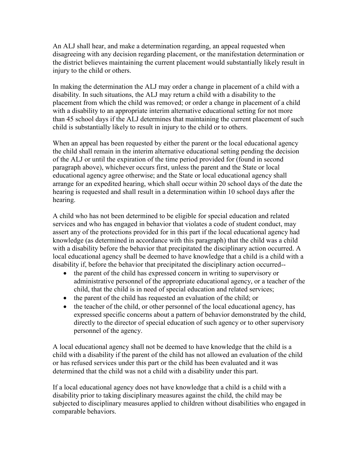An ALJ shall hear, and make a determination regarding, an appeal requested when disagreeing with any decision regarding placement, or the manifestation determination or the district believes maintaining the current placement would substantially likely result in injury to the child or others.

In making the determination the ALJ may order a change in placement of a child with a disability. In such situations, the ALJ may return a child with a disability to the placement from which the child was removed; or order a change in placement of a child with a disability to an appropriate interim alternative educational setting for not more than 45 school days if the ALJ determines that maintaining the current placement of such child is substantially likely to result in injury to the child or to others.

When an appeal has been requested by either the parent or the local educational agency the child shall remain in the interim alternative educational setting pending the decision of the ALJ or until the expiration of the time period provided for (found in second paragraph above), whichever occurs first, unless the parent and the State or local educational agency agree otherwise; and the State or local educational agency shall arrange for an expedited hearing, which shall occur within 20 school days of the date the hearing is requested and shall result in a determination within 10 school days after the hearing.

A child who has not been determined to be eligible for special education and related services and who has engaged in behavior that violates a code of student conduct, may assert any of the protections provided for in this part if the local educational agency had knowledge (as determined in accordance with this paragraph) that the child was a child with a disability before the behavior that precipitated the disciplinary action occurred. A local educational agency shall be deemed to have knowledge that a child is a child with a disability if, before the behavior that precipitated the disciplinary action occurred--

- the parent of the child has expressed concern in writing to supervisory or administrative personnel of the appropriate educational agency, or a teacher of the child, that the child is in need of special education and related services;
- the parent of the child has requested an evaluation of the child; or
- the teacher of the child, or other personnel of the local educational agency, has expressed specific concerns about a pattern of behavior demonstrated by the child, directly to the director of special education of such agency or to other supervisory personnel of the agency.

A local educational agency shall not be deemed to have knowledge that the child is a child with a disability if the parent of the child has not allowed an evaluation of the child or has refused services under this part or the child has been evaluated and it was determined that the child was not a child with a disability under this part.

If a local educational agency does not have knowledge that a child is a child with a disability prior to taking disciplinary measures against the child, the child may be subjected to disciplinary measures applied to children without disabilities who engaged in comparable behaviors.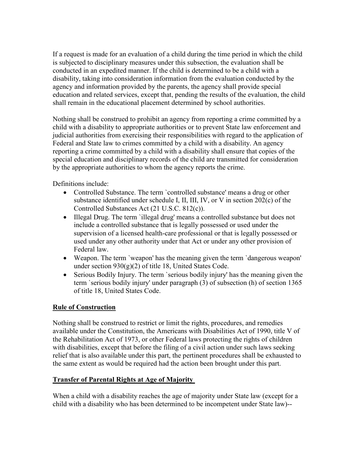If a request is made for an evaluation of a child during the time period in which the child is subjected to disciplinary measures under this subsection, the evaluation shall be conducted in an expedited manner. If the child is determined to be a child with a disability, taking into consideration information from the evaluation conducted by the agency and information provided by the parents, the agency shall provide special education and related services, except that, pending the results of the evaluation, the child shall remain in the educational placement determined by school authorities.

Nothing shall be construed to prohibit an agency from reporting a crime committed by a child with a disability to appropriate authorities or to prevent State law enforcement and judicial authorities from exercising their responsibilities with regard to the application of Federal and State law to crimes committed by a child with a disability. An agency reporting a crime committed by a child with a disability shall ensure that copies of the special education and disciplinary records of the child are transmitted for consideration by the appropriate authorities to whom the agency reports the crime.

Definitions include:

- Controlled Substance. The term `controlled substance' means a drug or other substance identified under schedule I, II, III, IV, or V in section 202(c) of the Controlled Substances Act (21 U.S.C. 812(c)).
- Illegal Drug. The term `illegal drug' means a controlled substance but does not include a controlled substance that is legally possessed or used under the supervision of a licensed health-care professional or that is legally possessed or used under any other authority under that Act or under any other provision of Federal law.
- Weapon. The term `weapon' has the meaning given the term `dangerous weapon' under section 930(g)(2) of title 18, United States Code.
- Serious Bodily Injury. The term `serious bodily injury' has the meaning given the term `serious bodily injury' under paragraph (3) of subsection (h) of section 1365 of title 18, United States Code.

# **Rule of Construction**

Nothing shall be construed to restrict or limit the rights, procedures, and remedies available under the Constitution, the Americans with Disabilities Act of 1990, title V of the Rehabilitation Act of 1973, or other Federal laws protecting the rights of children with disabilities, except that before the filing of a civil action under such laws seeking relief that is also available under this part, the pertinent procedures shall be exhausted to the same extent as would be required had the action been brought under this part.

# **Transfer of Parental Rights at Age of Majority**

When a child with a disability reaches the age of majority under State law (except for a child with a disability who has been determined to be incompetent under State law)--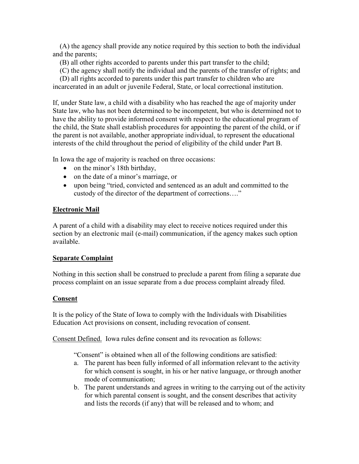(A) the agency shall provide any notice required by this section to both the individual and the parents;

(B) all other rights accorded to parents under this part transfer to the child;

(C) the agency shall notify the individual and the parents of the transfer of rights; and

 (D) all rights accorded to parents under this part transfer to children who are incarcerated in an adult or juvenile Federal, State, or local correctional institution.

If, under State law, a child with a disability who has reached the age of majority under State law, who has not been determined to be incompetent, but who is determined not to have the ability to provide informed consent with respect to the educational program of the child, the State shall establish procedures for appointing the parent of the child, or if the parent is not available, another appropriate individual, to represent the educational interests of the child throughout the period of eligibility of the child under Part B.

In Iowa the age of majority is reached on three occasions:

- on the minor's 18th birthday,
- on the date of a minor's marriage, or
- upon being "tried, convicted and sentenced as an adult and committed to the custody of the director of the department of corrections…."

# **Electronic Mail**

A parent of a child with a disability may elect to receive notices required under this section by an electronic mail (e-mail) communication, if the agency makes such option available.

# **Separate Complaint**

Nothing in this section shall be construed to preclude a parent from filing a separate due process complaint on an issue separate from a due process complaint already filed.

# **Consent**

It is the policy of the State of Iowa to comply with the Individuals with Disabilities Education Act provisions on consent, including revocation of consent.

Consent Defined. Iowa rules define consent and its revocation as follows:

"Consent" is obtained when all of the following conditions are satisfied:

- a. The parent has been fully informed of all information relevant to the activity for which consent is sought, in his or her native language, or through another mode of communication;
- b. The parent understands and agrees in writing to the carrying out of the activity for which parental consent is sought, and the consent describes that activity and lists the records (if any) that will be released and to whom; and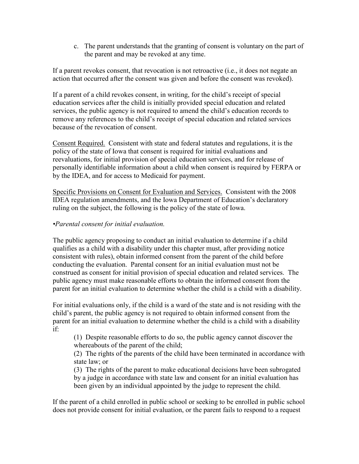c. The parent understands that the granting of consent is voluntary on the part of the parent and may be revoked at any time.

If a parent revokes consent, that revocation is not retroactive (i.e., it does not negate an action that occurred after the consent was given and before the consent was revoked).

If a parent of a child revokes consent, in writing, for the child's receipt of special education services after the child is initially provided special education and related services, the public agency is not required to amend the child's education records to remove any references to the child's receipt of special education and related services because of the revocation of consent.

Consent Required. Consistent with state and federal statutes and regulations, it is the policy of the state of Iowa that consent is required for initial evaluations and reevaluations, for initial provision of special education services, and for release of personally identifiable information about a child when consent is required by FERPA or by the IDEA, and for access to Medicaid for payment.

Specific Provisions on Consent for Evaluation and Services. Consistent with the 2008 IDEA regulation amendments, and the Iowa Department of Education's declaratory ruling on the subject, the following is the policy of the state of Iowa.

# *•Parental consent for initial evaluation.*

The public agency proposing to conduct an initial evaluation to determine if a child qualifies as a child with a disability under this chapter must, after providing notice consistent with rules), obtain informed consent from the parent of the child before conducting the evaluation. Parental consent for an initial evaluation must not be construed as consent for initial provision of special education and related services. The public agency must make reasonable efforts to obtain the informed consent from the parent for an initial evaluation to determine whether the child is a child with a disability.

For initial evaluations only, if the child is a ward of the state and is not residing with the child's parent, the public agency is not required to obtain informed consent from the parent for an initial evaluation to determine whether the child is a child with a disability if:

(1) Despite reasonable efforts to do so, the public agency cannot discover the whereabouts of the parent of the child;

(2) The rights of the parents of the child have been terminated in accordance with state law; or

(3) The rights of the parent to make educational decisions have been subrogated by a judge in accordance with state law and consent for an initial evaluation has been given by an individual appointed by the judge to represent the child.

If the parent of a child enrolled in public school or seeking to be enrolled in public school does not provide consent for initial evaluation, or the parent fails to respond to a request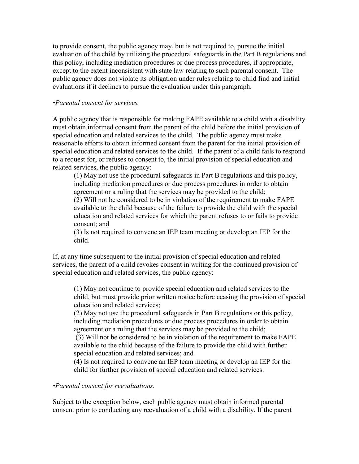to provide consent, the public agency may, but is not required to, pursue the initial evaluation of the child by utilizing the procedural safeguards in the Part B regulations and this policy, including mediation procedures or due process procedures, if appropriate, except to the extent inconsistent with state law relating to such parental consent. The public agency does not violate its obligation under rules relating to child find and initial evaluations if it declines to pursue the evaluation under this paragraph.

### *•Parental consent for services.*

A public agency that is responsible for making FAPE available to a child with a disability must obtain informed consent from the parent of the child before the initial provision of special education and related services to the child. The public agency must make reasonable efforts to obtain informed consent from the parent for the initial provision of special education and related services to the child. If the parent of a child fails to respond to a request for, or refuses to consent to, the initial provision of special education and related services, the public agency:

(1) May not use the procedural safeguards in Part B regulations and this policy, including mediation procedures or due process procedures in order to obtain agreement or a ruling that the services may be provided to the child; (2) Will not be considered to be in violation of the requirement to make FAPE available to the child because of the failure to provide the child with the special education and related services for which the parent refuses to or fails to provide consent; and

(3) Is not required to convene an IEP team meeting or develop an IEP for the child.

If, at any time subsequent to the initial provision of special education and related services, the parent of a child revokes consent in writing for the continued provision of special education and related services, the public agency:

(1) May not continue to provide special education and related services to the child, but must provide prior written notice before ceasing the provision of special education and related services;

(2) May not use the procedural safeguards in Part B regulations or this policy, including mediation procedures or due process procedures in order to obtain agreement or a ruling that the services may be provided to the child;

(3) Will not be considered to be in violation of the requirement to make FAPE available to the child because of the failure to provide the child with further special education and related services; and

(4) Is not required to convene an IEP team meeting or develop an IEP for the child for further provision of special education and related services.

### *•Parental consent for reevaluations.*

Subject to the exception below, each public agency must obtain informed parental consent prior to conducting any reevaluation of a child with a disability. If the parent